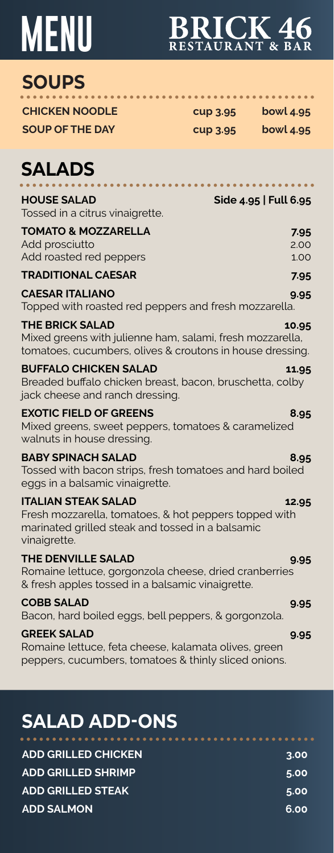# **MENU**

# BRICK 46

. . . . . . . . . . . . . . . . . . . .

. . . . . . . . . . . . . . . .

## **SOUPS**

**CHICKEN NOODLE cup 3.95 bowl 4.95 SOUP OF THE DAY cup 3.95 bowl 4.95** 

### **SALADS**

| <b>HOUSE SALAD</b><br>Tossed in a citrus vinaigrette.                                                                                                   | Side 4.95   Full 6.95 |
|---------------------------------------------------------------------------------------------------------------------------------------------------------|-----------------------|
| <b>TOMATO &amp; MOZZARELLA</b><br>Add prosciutto<br>Add roasted red peppers                                                                             | 7.95<br>2.00<br>1.00  |
| <b>TRADITIONAL CAESAR</b>                                                                                                                               | 7.95                  |
| <b>CAESAR ITALIANO</b><br>Topped with roasted red peppers and fresh mozzarella.                                                                         | 9.95                  |
| <b>THE BRICK SALAD</b><br>Mixed greens with julienne ham, salami, fresh mozzarella,<br>tomatoes, cucumbers, olives & croutons in house dressing.        | 10.95                 |
| <b>BUFFALO CHICKEN SALAD</b><br>Breaded buffalo chicken breast, bacon, bruschetta, colby<br>jack cheese and ranch dressing.                             | 11.95                 |
| <b>EXOTIC FIELD OF GREENS</b><br>Mixed greens, sweet peppers, tomatoes & caramelized<br>walnuts in house dressing.                                      | 8.95                  |
| <b>BABY SPINACH SALAD</b><br>Tossed with bacon strips, fresh tomatoes and hard boiled<br>eggs in a balsamic vinaigrette.                                | 8.95                  |
| <b>ITALIAN STEAK SALAD</b><br>Fresh mozzarella, tomatoes, & hot peppers topped with<br>marinated grilled steak and tossed in a balsamic<br>vinaigrette. | 12.95                 |
| <b>THE DENVILLE SALAD</b><br>Romaine lettuce, gorgonzola cheese, dried cranberries<br>& fresh apples tossed in a balsamic vinaigrette.                  | 9.95                  |
| <b>COBB SALAD</b><br>Bacon, hard boiled eggs, bell peppers, & gorgonzola.                                                                               | 9.95                  |
| <b>GREEK SALAD</b><br>Romaine lettuce, feta cheese, kalamata olives, green<br>peppers, cucumbers, tomatoes & thinly sliced onions.                      | 9.95                  |

## **SALAD ADD-ONS**

| <b>ADD GRILLED CHICKEN</b> | 3.00 |
|----------------------------|------|
| <b>ADD GRILLED SHRIMP</b>  | 5.00 |
| <b>ADD GRILLED STEAK</b>   | 5.00 |
| <b>ADD SALMON.</b>         | 6.00 |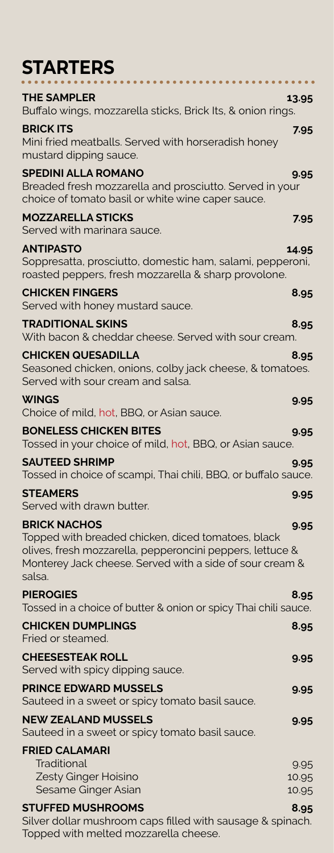## **STARTERS**

| .                                                                                                                                                                                                            |               |
|--------------------------------------------------------------------------------------------------------------------------------------------------------------------------------------------------------------|---------------|
| <b>THE SAMPLER</b><br>Buffalo wings, mozzarella sticks, Brick Its, & onion rings.                                                                                                                            | 13.95         |
| <b>BRICK ITS</b><br>Mini fried meatballs. Served with horseradish honey<br>mustard dipping sauce.                                                                                                            | 7.95          |
| <b>SPEDINI ALLA ROMANO</b><br>Breaded fresh mozzarella and prosciutto. Served in your<br>choice of tomato basil or white wine caper sauce.                                                                   | 9.95          |
| <b>MOZZARELLA STICKS</b><br>Served with marinara sauce.                                                                                                                                                      | 7.95          |
| ANTIPASTO<br>Soppresatta, prosciutto, domestic ham, salami, pepperoni,<br>roasted peppers, fresh mozzarella & sharp provolone.                                                                               | 14.95         |
| <b>CHICKEN FINGERS</b><br>Served with honey mustard sauce.                                                                                                                                                   | 8.95          |
| <b>TRADITIONAL SKINS</b><br>With bacon & cheddar cheese. Served with sour cream.                                                                                                                             | 8.95          |
| <b>CHICKEN QUESADILLA</b><br>Seasoned chicken, onions, colby jack cheese, & tomatoes.<br>Served with sour cream and salsa.                                                                                   | 8.95          |
| <b>WINGS</b><br>Choice of mild, hot, BBQ, or Asian sauce.                                                                                                                                                    | 9.95          |
| <b>BONELESS CHICKEN BITES</b><br>Tossed in your choice of mild, hot, BBQ, or Asian sauce.                                                                                                                    | 9.95          |
| <b>SAUTEED SHRIMP</b><br>Tossed in choice of scampi, Thai chili, BBQ, or buffalo sauce.                                                                                                                      | 9.95          |
| <b>STEAMERS</b><br>Served with drawn butter.                                                                                                                                                                 | 9.95          |
| <b>BRICK NACHOS</b><br>Topped with breaded chicken, diced tomatoes, black<br>olives, fresh mozzarella, pepperoncini peppers, lettuce &<br>Monterey Jack cheese. Served with a side of sour cream &<br>salsa. | 9.95          |
| <b>PIEROGIES</b><br>Tossed in a choice of butter & onion or spicy Thai chili sauce.                                                                                                                          | 8.95          |
| <b>CHICKEN DUMPLINGS</b><br>Fried or steamed.                                                                                                                                                                | 8.95          |
| <b>CHEESESTEAK ROLL</b><br>Served with spicy dipping sauce.                                                                                                                                                  | 9.95          |
| <b>PRINCE EDWARD MUSSELS</b><br>Sauteed in a sweet or spicy tomato basil sauce.                                                                                                                              | 9.95          |
| <b>NEW ZEALAND MUSSELS</b><br>Sauteed in a sweet or spicy tomato basil sauce.                                                                                                                                | 9.95          |
| <b>FRIED CALAMARI</b><br>Traditional<br>Zesty Ginger Hoisino                                                                                                                                                 | 9.95<br>10.95 |
| Sesame Ginger Asian                                                                                                                                                                                          | 10.95         |
| <b>STUFFED MUSHROOMS</b><br>Silver dollar mushroom cans filled with sausage & spinach                                                                                                                        | 8.95          |

Silver dollar mushroom caps filled with sausage & spinach. Topped with melted mozzarella cheese.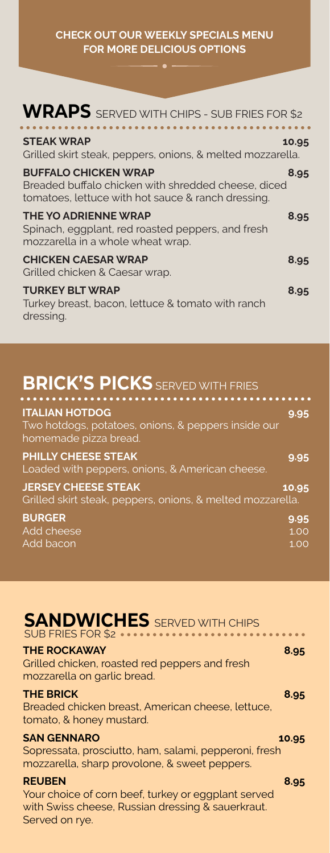**CHECK OUT OUR WEEKLY SPECIALS MENU FOR MORE DELICIOUS OPTIONS**

| WRAPS SERVED WITH CHIPS - SUB FRIES FOR \$2                                                                                              |       |
|------------------------------------------------------------------------------------------------------------------------------------------|-------|
| <b>STEAK WRAP</b><br>Grilled skirt steak, peppers, onions, & melted mozzarella.                                                          | 10.95 |
| <b>BUFFALO CHICKEN WRAP</b><br>Breaded buffalo chicken with shredded cheese, diced<br>tomatoes, lettuce with hot sauce & ranch dressing. | 8.95  |
| <b>THE YO ADRIENNE WRAP</b><br>Spinach, eggplant, red roasted peppers, and fresh<br>mozzarella in a whole wheat wrap.                    | 8.95  |
| <b>CHICKEN CAESAR WRAP</b><br>Grilled chicken & Caesar wrap.                                                                             | 8.95  |
| <b>TURKEY BLT WRAP</b><br>Turkey breast, bacon, lettuce & tomato with ranch<br>dressing.                                                 | 8.95  |

### **BRICK'S PICKS** SERVED WITH FRIES

| <b>ITALIAN HOTDOG</b><br>Two hotdogs, potatoes, onions, & peppers inside our<br>homemade pizza bread. | 9.95                 |
|-------------------------------------------------------------------------------------------------------|----------------------|
| <b>PHILLY CHEESE STEAK</b><br>Loaded with peppers, onions, & American cheese.                         | 9.95                 |
| <b>JERSEY CHEESE STEAK</b><br>Grilled skirt steak, peppers, onions, & melted mozzarella.              | 10.95                |
| <b>BURGER</b><br>Add cheese<br>Add bacon                                                              | 9.95<br>1.00<br>1.00 |

| <b>SANDWICHES</b> SERVED WITH CHIPS | SUB FRIES FOR \$2 m |
|-------------------------------------|---------------------|
| <b>THE ROCKAWAY</b>                 | 8.95                |

Grilled chicken, roasted red peppers and fresh mozzarella on garlic bread.

### **THE BRICK 8.95**

Breaded chicken breast, American cheese, lettuce, tomato, & honey mustard.

### **SAN GENNARO** 10.95

Sopressata, prosciutto, ham, salami, pepperoni, fresh mozzarella, sharp provolone, & sweet peppers.

### **REUBEN 8.95**

Your choice of corn beef, turkey or eggplant served with Swiss cheese, Russian dressing & sauerkraut. Served on rye.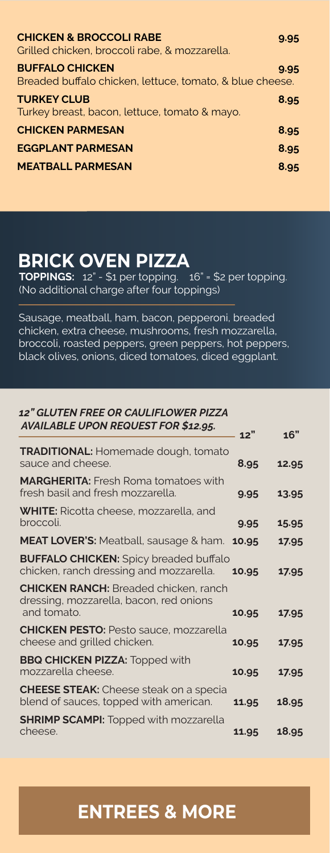| <b>CHICKEN &amp; BROCCOLI RABE</b><br>Grilled chicken, broccoli rabe, & mozzarella. | 9.95 |
|-------------------------------------------------------------------------------------|------|
| <b>BUFFALO CHICKEN</b><br>Breaded buffalo chicken, lettuce, tomato, & blue cheese.  | 9.95 |
| <b>TURKEY CLUB</b><br>Turkey breast, bacon, lettuce, tomato & mayo.                 | 8.95 |
| <b>CHICKEN PARMESAN</b>                                                             | 8.95 |
| <b>EGGPLANT PARMESAN</b>                                                            | 8.95 |
| <b>MEATBALL PARMESAN</b>                                                            | 8.95 |

### **BRICK OVEN PIZZA**

**TOPPINGS:**  $12" - $1$  per topping.  $\boxed{16" = $2$  per topping. (No additional charge after four toppings)

Sausage, meatball, ham, bacon, pepperoni, breaded chicken, extra cheese, mushrooms, fresh mozzarella, broccoli, roasted peppers, green peppers, hot peppers, black olives, onions, diced tomatoes, diced eggplant.

### *12" GLUTEN FREE OR CAULIFLOWER PIZZA AVAILABLE UPON REQUEST FOR \$12.95.*

|                                                                                                        | 12"   | 16"   |
|--------------------------------------------------------------------------------------------------------|-------|-------|
| <b>TRADITIONAL: Homemade dough, tomato</b><br>sauce and cheese.                                        | 8.95  | 12.95 |
| <b>MARGHERITA:</b> Fresh Roma tomatoes with<br>fresh basil and fresh mozzarella.                       | 9.95  | 13.95 |
| <b>WHITE:</b> Ricotta cheese, mozzarella, and<br>broccoli.                                             | 9.95  | 15.95 |
| MEAT LOVER'S: Meatball, sausage & ham.                                                                 | 10.95 | 17.95 |
| <b>BUFFALO CHICKEN:</b> Spicy breaded buffalo<br>chicken, ranch dressing and mozzarella.               | 10.95 | 17.95 |
| <b>CHICKEN RANCH:</b> Breaded chicken, ranch<br>dressing, mozzarella, bacon, red onions<br>and tomato. | 10.95 | 17.95 |
| <b>CHICKEN PESTO: Pesto sauce, mozzarella</b><br>cheese and grilled chicken.                           | 10.95 | 17.95 |
| <b>BBQ CHICKEN PIZZA: Topped with</b><br>mozzarella cheese.                                            | 10.95 | 17.95 |
| <b>CHEESE STEAK:</b> Cheese steak on a specia<br>blend of sauces, topped with american.                | 11.95 | 18.95 |
| <b>SHRIMP SCAMPI: Topped with mozzarella</b><br>cheese.                                                | 11.95 | 18.95 |

### **ENTREES & MORE**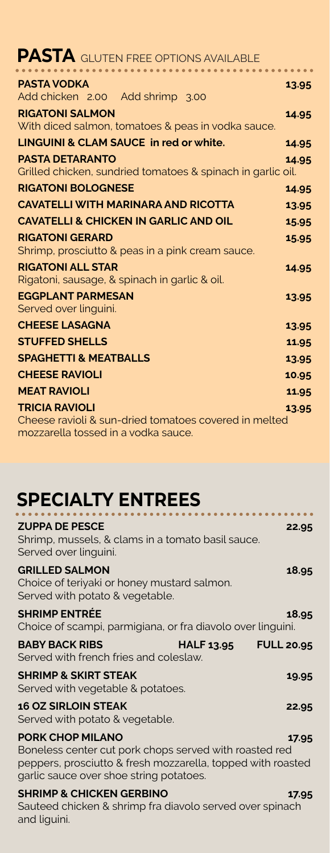| <b>PASTA</b> GLUTEN FREE OPTIONS AVAILABLE                                                                            |       |
|-----------------------------------------------------------------------------------------------------------------------|-------|
| <b>PASTA VODKA</b><br>Add chicken 2.00 Add shrimp 3.00                                                                | 13.95 |
| <b>RIGATONI SALMON</b><br>With diced salmon, tomatoes & peas in vodka sauce.                                          | 14.95 |
| <b>LINGUINI &amp; CLAM SAUCE in red or white.</b>                                                                     | 14.95 |
| <b>PASTA DETARANTO</b><br>Grilled chicken, sundried tomatoes & spinach in garlic oil.                                 | 14.95 |
| <b>RIGATONI BOLOGNESE</b>                                                                                             | 14.95 |
| <b>CAVATELLI WITH MARINARA AND RICOTTA</b>                                                                            | 13.95 |
| <b>CAVATELLI &amp; CHICKEN IN GARLIC AND OIL</b>                                                                      | 15.95 |
| <b>RIGATONI GERARD</b><br>Shrimp, prosciutto & peas in a pink cream sauce.                                            | 15.95 |
| <b>RIGATONI ALL STAR</b><br>Rigatoni, sausage, & spinach in garlic & oil.                                             | 14.95 |
| <b>EGGPLANT PARMESAN</b><br>Served over linguini.                                                                     | 13.95 |
| <b>CHEESE LASAGNA</b>                                                                                                 | 13.95 |
| <b>STUFFED SHELLS</b>                                                                                                 | 11.95 |
| <b>SPAGHETTI &amp; MEATBALLS</b>                                                                                      | 13.95 |
| <b>CHEESE RAVIOLI</b>                                                                                                 | 10.95 |
| <b>MEAT RAVIOLI</b>                                                                                                   | 11.95 |
| <b>TRICIA RAVIOLI</b><br>Cheese ravioli & sun-dried tomatoes covered in melted<br>mozzarella tossed in a vodka sauce. | 13.95 |

### **SPECIALTY ENTREES**

| <b>ZUPPA DE PESCE</b><br>Shrimp, mussels, & clams in a tomato basil sauce.<br>Served over linguini.                                                                                         | 22.95 |
|---------------------------------------------------------------------------------------------------------------------------------------------------------------------------------------------|-------|
| <b>GRILLED SALMON</b><br>Choice of teriyaki or honey mustard salmon.<br>Served with potato & vegetable.                                                                                     | 18.95 |
| <b>SHRIMP ENTRÉE</b><br>Choice of scampi, parmigiana, or fra diavolo over linguini.                                                                                                         | 18.95 |
| <b>BABY BACK RIBS</b><br><b>HALF 13.95</b><br><b>FULL 20.95</b><br>Served with french fries and coleslaw.                                                                                   |       |
| <b>SHRIMP &amp; SKIRT STEAK</b><br>Served with vegetable & potatoes.                                                                                                                        | 19.95 |
| <b>16 OZ SIRLOIN STEAK</b><br>Served with potato & vegetable.                                                                                                                               | 22.95 |
| <b>PORK CHOP MILANO</b><br>Boneless center cut pork chops served with roasted red<br>peppers, prosciutto & fresh mozzarella, topped with roasted<br>garlic sauce over shoe string potatoes. | 17.95 |
| <b>SHRIMP &amp; CHICKEN GERBINO</b><br>Sauteed chicken & shrimp fra diavolo served over spinach                                                                                             | 17.95 |

Sauteed chicken & shrimp fra diavolo served over spinach stated of